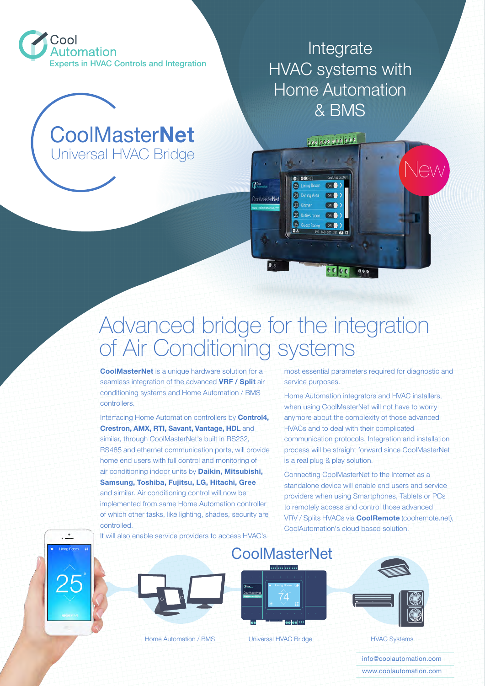

## Universal HVAC Bridge CoolMaster**Net**

Integrate HVAC systems with Home Automation & BMS

0000000000000

 $\mathbf{r}$  , and  $\mathbf{r}$ 

**ON** 

**ON ON** 

 $0000000$ 

ng Room ON

Dining Area ON

 $\Omega$ 

63

 $\bullet$ 

## Advanced bridge for the integration of Air Conditioning systems

CoolMasterNet

**CoolMasterNet** is a unique hardware solution for a seamless integration of the advanced **VRF / Split** air conditioning systems and Home Automation / BMS controllers.

Interfacing Home Automation controllers by **Control4, Crestron, AMX, RTI, Savant, Vantage, HDL** and similar, through CoolMasterNet's built in RS232, RS485 and ethernet communication ports, will provide home end users with full control and monitoring of air conditioning indoor units by **Daikin, Mitsubishi, Samsung, Toshiba, Fujitsu, LG, Hitachi, Gree** and similar. Air conditioning control will now be implemented from same Home Automation controller of which other tasks, like lighting, shades, security are controlled.

most essential parameters required for diagnostic and service purposes.

New

Home Automation integrators and HVAC installers, when using CoolMasterNet will not have to worry anymore about the complexity of those advanced HVACs and to deal with their complicated communication protocols. Integration and installation process will be straight forward since CoolMasterNet is a real plug & play solution.

Connecting CoolMasterNet to the Internet as a standalone device will enable end users and service providers when using Smartphones, Tablets or PCs to remotely access and control those advanced VRV / Splits HVACs via **CoolRemote** (coolremote.net), CoolAutomation's cloud based solution.

It will also enable service providers to access HVAC's

 $\bullet$ 



Home Automation / BMS | Universal HVAC Bridge | HVAC Systems



**CoolMasterNet** 

Universal HVAC Bridge



info@coolautomation.com www.coolautomation.com